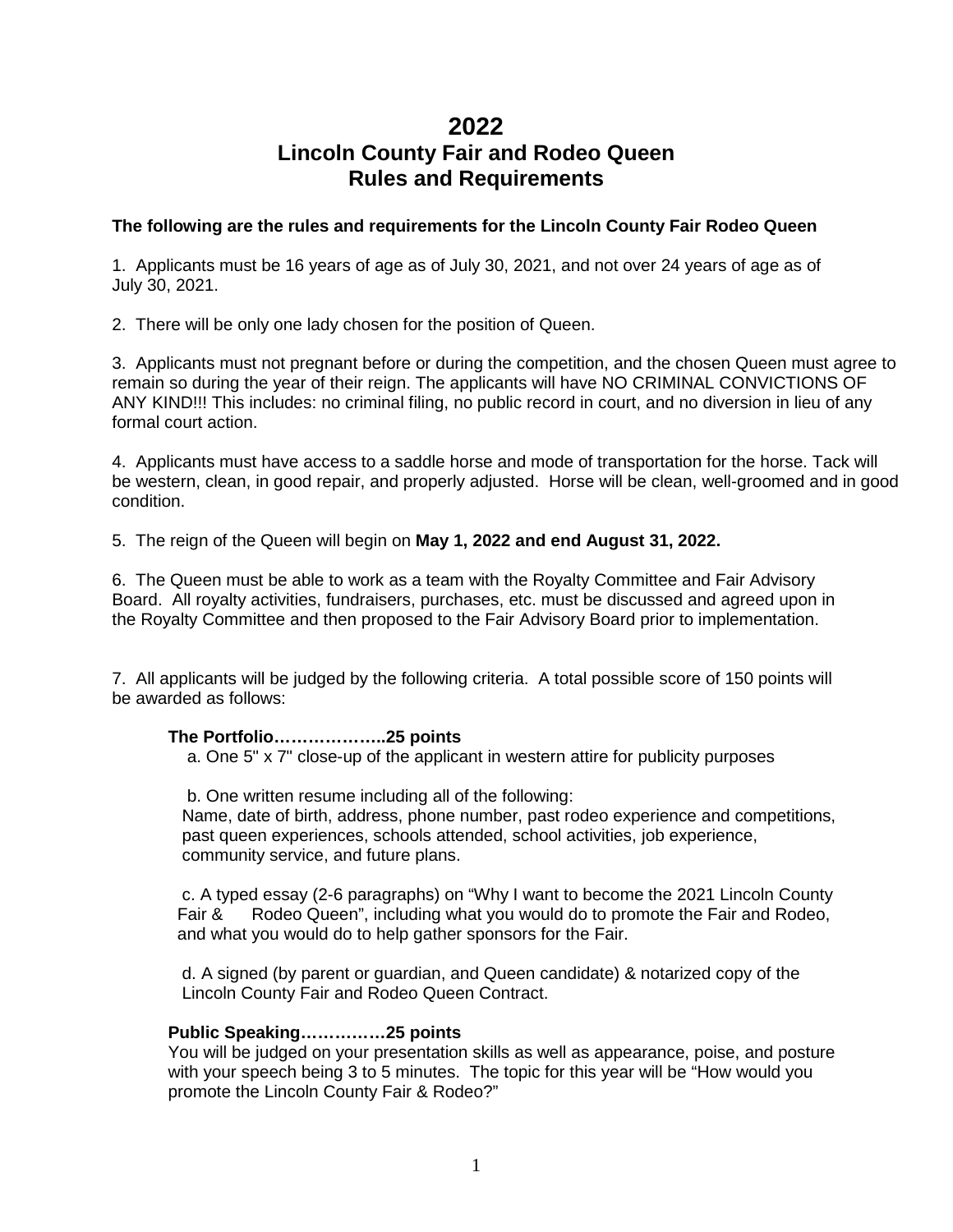# **2022**

# **Lincoln County Fair and Rodeo Queen Rules and Requirements**

# **The following are the rules and requirements for the Lincoln County Fair Rodeo Queen**

1.Applicants must be 16 years of age as of July 30, 2021, and not over 24 years of age as of July 30, 2021.

2. There will be only one lady chosen for the position of Queen.

3. Applicants must not pregnant before or during the competition, and the chosen Queen must agree to remain so during the year of their reign. The applicants will have NO CRIMINAL CONVICTIONS OF ANY KIND!!! This includes: no criminal filing, no public record in court, and no diversion in lieu of any formal court action.

4. Applicants must have access to a saddle horse and mode of transportation for the horse. Tack will be western, clean, in good repair, and properly adjusted. Horse will be clean, well-groomed and in good condition.

5. The reign of the Queen will begin on **May 1, 2022 and end August 31, 2022.** 

6. The Queen must be able to work as a team with the Royalty Committee and Fair Advisory Board. All royalty activities, fundraisers, purchases, etc. must be discussed and agreed upon in the Royalty Committee and then proposed to the Fair Advisory Board prior to implementation.

7. All applicants will be judged by the following criteria. A total possible score of 150 points will be awarded as follows:

#### **The Portfolio………………..25 points**

a. One 5" x 7" close-up of the applicant in western attire for publicity purposes

 b. One written resume including all of the following: Name, date of birth, address, phone number, past rodeo experience and competitions, past queen experiences, schools attended, school activities, job experience, community service, and future plans.

c. A typed essay (2-6 paragraphs) on "Why I want to become the 2021 Lincoln County Fair & Rodeo Queen", including what you would do to promote the Fair and Rodeo, and what you would do to help gather sponsors for the Fair.

d. A signed (by parent or guardian, and Queen candidate) & notarized copy of the Lincoln County Fair and Rodeo Queen Contract.

#### **Public Speaking……………25 points**

You will be judged on your presentation skills as well as appearance, poise, and posture with your speech being 3 to 5 minutes. The topic for this year will be "How would you promote the Lincoln County Fair & Rodeo?"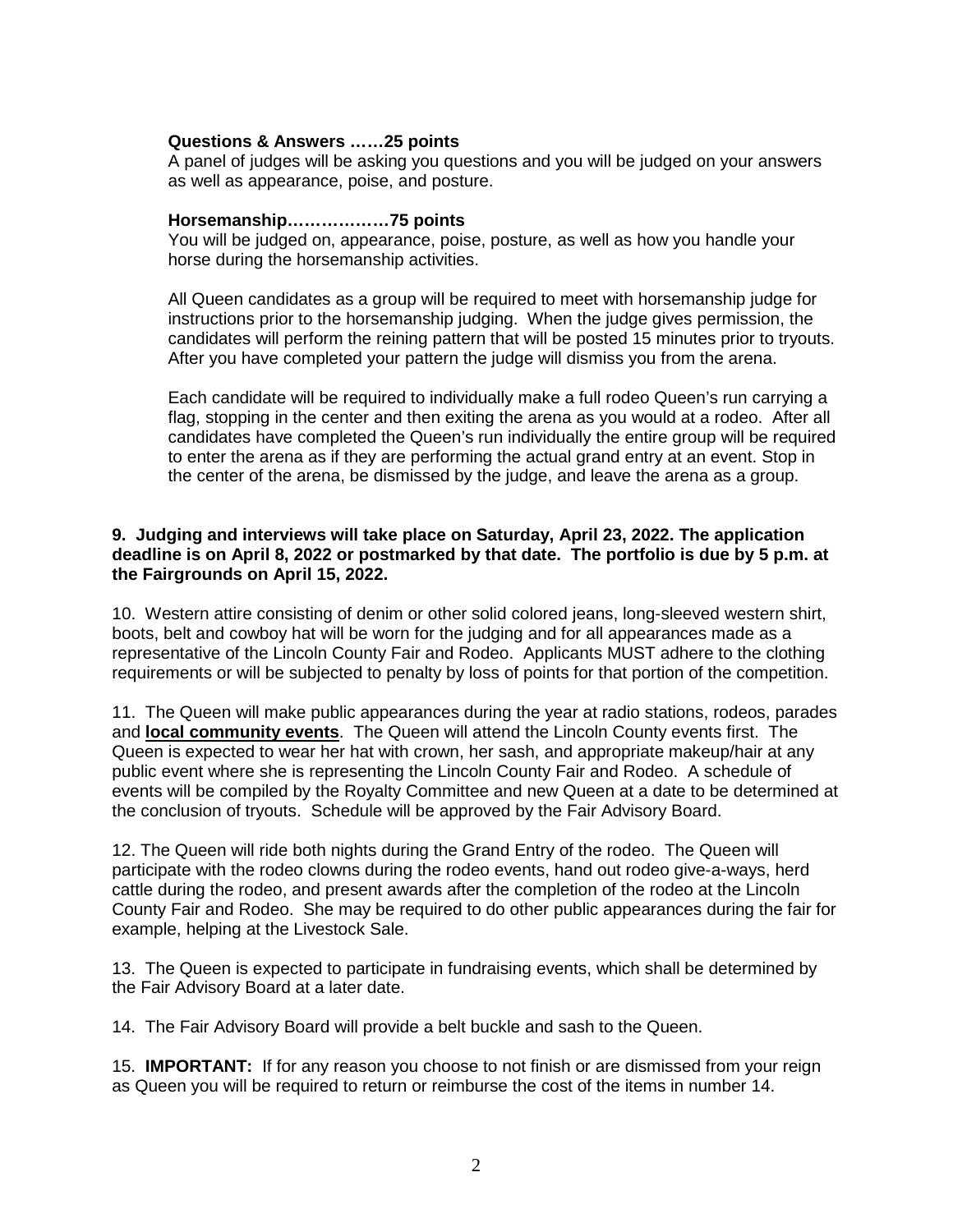# **Questions & Answers ……25 points**

A panel of judges will be asking you questions and you will be judged on your answers as well as appearance, poise, and posture.

#### **Horsemanship………………75 points**

You will be judged on, appearance, poise, posture, as well as how you handle your horse during the horsemanship activities.

All Queen candidates as a group will be required to meet with horsemanship judge for instructions prior to the horsemanship judging. When the judge gives permission, the candidates will perform the reining pattern that will be posted 15 minutes prior to tryouts. After you have completed your pattern the judge will dismiss you from the arena.

Each candidate will be required to individually make a full rodeo Queen's run carrying a flag, stopping in the center and then exiting the arena as you would at a rodeo. After all candidates have completed the Queen's run individually the entire group will be required to enter the arena as if they are performing the actual grand entry at an event. Stop in the center of the arena, be dismissed by the judge, and leave the arena as a group.

### **9. Judging and interviews will take place on Saturday, April 23, 2022. The application deadline is on April 8, 2022 or postmarked by that date. The portfolio is due by 5 p.m. at the Fairgrounds on April 15, 2022.**

10. Western attire consisting of denim or other solid colored jeans, long-sleeved western shirt, boots, belt and cowboy hat will be worn for the judging and for all appearances made as a representative of the Lincoln County Fair and Rodeo. Applicants MUST adhere to the clothing requirements or will be subjected to penalty by loss of points for that portion of the competition.

11. The Queen will make public appearances during the year at radio stations, rodeos, parades and **local community events**. The Queen will attend the Lincoln County events first. The Queen is expected to wear her hat with crown, her sash, and appropriate makeup/hair at any public event where she is representing the Lincoln County Fair and Rodeo. A schedule of events will be compiled by the Royalty Committee and new Queen at a date to be determined at the conclusion of tryouts. Schedule will be approved by the Fair Advisory Board.

12. The Queen will ride both nights during the Grand Entry of the rodeo. The Queen will participate with the rodeo clowns during the rodeo events, hand out rodeo give-a-ways, herd cattle during the rodeo, and present awards after the completion of the rodeo at the Lincoln County Fair and Rodeo. She may be required to do other public appearances during the fair for example, helping at the Livestock Sale.

13. The Queen is expected to participate in fundraising events, which shall be determined by the Fair Advisory Board at a later date.

14. The Fair Advisory Board will provide a belt buckle and sash to the Queen.

15. **IMPORTANT:** If for any reason you choose to not finish or are dismissed from your reign as Queen you will be required to return or reimburse the cost of the items in number 14.